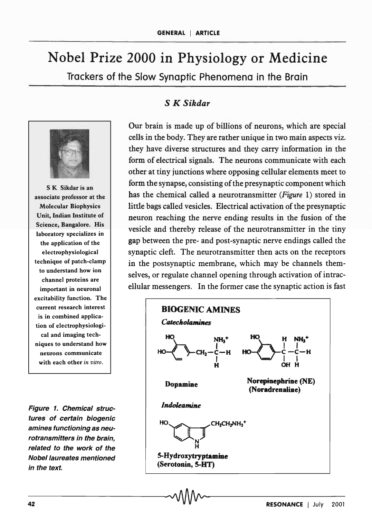## Nobel Prize 2000 in Physiology or Medicine Trackers of the Slow Synaptic Phenomena in the Brain



S K Sikdar is an associate professor at the Molecular Biophysics Unit, Indian Institute of Science, Bangalore. His laboratory specializes in the application of the electrophysiological technique of patch-damp to understand how ion channel proteins are important in neuronal excitability function. The current research interest is in combined application of electrophysiological and imaging techniques to understand how neurons communicate with each other *in vitro,* 

Figure 1. Chemical structures of certain biogenic amines functioning as neurotransmitters in the brain, related to the work of the Nobel laureates mentioned in the text.

## S *K Sikdar*

Our brain is made up of billions of neurons, which are special cells in the body. They are rather unique in two main aspects viz. they have diverse structures and they carry information in the form of electrical signals. The neurons communicate with each other at tiny junctions where opposing cellular elements meet to form the synapse, consisting of the presynaptic component which has the chemical called a neurotransmitter *(Figure* 1) stored in little bags called vesicles. Electrical activation of the presynaptic neuron reaching the nerve ending results in the fusion of the vesicle and thereby release of the neurotransmitter in the tiny gap between the pre- and post -synaptic nerve endings called the synaptic cleft. The neurotransmitter then acts on the receptors in the postsynaptic membrane, which may be channels themselves, or regulate channel opening through activation of intracellular messengers. In the former case the synaptic action is fast

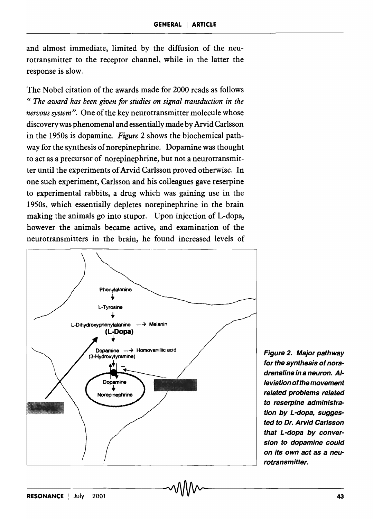and almost immediate, limited by the diffusion of the neurotransmitter to the receptor channel, while in the latter the response is slow.

The Nobel citation of the awards made for 2000 reads as follows « *The award has been given for studies on signal transduction in the nervous system".* One of the key neurotransmitter molecule whose discovery was phenomenal and essentially made by Arvid Carlsson in the 1950s is dopamine. *Figure* 2 shows the biochemical pathway for the synthesis of norepinephrine. Dopamine was thought to act as a precursor of norepinephrine, but not a neurotransmitter until the experiments of Arvid Carlsson proved otherwise. In one such experiment, Carlsson and his colleagues gave reserpine to experimental rabbits, a drug which was gaining use in the 1950s, which essentially depletes norepinephrine in the brain making the animals go into stupor. Upon injection of L-dopa, however the animals became active, and examination of the neurotransmitters in the brain, he found increased levels of



Figure 2. Major pathway for the synthesis of noradrenaline in a neuron. Alleviation of the movement related problems related to reserpine administration by L-dopa, suggested to Dr. Arvid Carlsson that L-dopa by conversion to dopamine could on its own act as a neurotransmitter.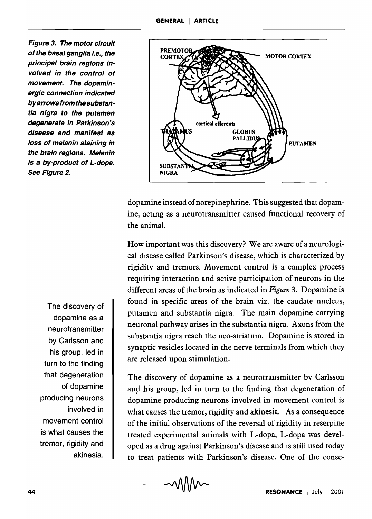Figure 3. The motor circuit of the basal ganglia i.e., the principal brain regions involved in the control of movement. The dopaminergic connection indicated by arrows from thesubstantia nigra to the putamen degenerate in Parkinson's disease and manifest as loss of melanin staining in the brain regions. Melanin is a by-product of L-dopa. See Figure 2.



dopamine instead of norepinephrine. This suggested that dopamine, acting as a neurotransmitter caused functional recovery of the animal.

How important was this discovery? We are aware of a neurological disease called Parkinson's disease, which is characterized by rigidity and tremors. Movement control is a complex process requiring interaction and active participation of neurons in the different areas of the brain as indicated in *Figure* 3. Dopamine is found in specific areas of the brain viz. the caudate nucleus, putamen and substantia nigra. The main dopamine carrying neuronal pathway arises in the substantia nigra. Axons from the substantia nigra reach the neo-striatum. Dopamine is stored in synaptic vesicles located in the nerve terminals from which they are released upon stimulation.

The discovery of dopamine as a neurotransmitter by Carlsson and his group, led in turn to the finding that degeneration of dopamine producing neurons involved in movement control is what causes the tremor, rigidity and akinesia. As a consequence of the initial observations of the reversal of rigidity in reserpine treated experimental animals with L-dopa, L-dopa was developed as a drug against Parkinson's disease and is still used today to treat patients with Parkinson's disease. One of the conse-

The discovery of dopamine as a neurotransmitter by Carlsson and his group, led in turn to the finding that degeneration of dopamine producing neurons involved in movement control is what causes the tremor, rigidity and akinesia.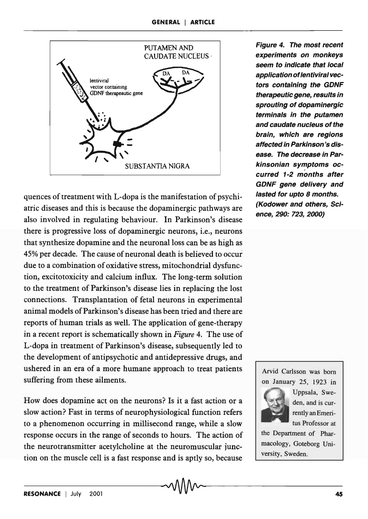

quences of treatment with L-dopa is the manifestation of psychiatric diseases and this is because the dopaminergic pathways are also involved in regulating behaviour. In Parkinson's disease there is progressive loss of dopaminergic neurons, i.e., neurons that synthesize dopamine and the neuronal loss can be as high as 45% per decade. The cause of neuronal death is believed to occur due to a combination of oxidative stress, mitochondrial dysfunction, excitotoxicity and calcium influx. The long-term solution to the treatment of Parkinson's disease lies in replacing the lost connections. Transplantation of fetal neurons in experimental animal models of Parkinson's disease has been tried and there are reports of human trials as well. The application of gene-therapy in a recent report is schematically shown in *Figure* 4. The use of L-dopa in treatment of Parkinson's disease, subsequently led to the development of antipsychotic and antidepressive drugs, and ushered in an era of a more humane approach to treat patients suffering from these ailments.

How does dopamine act on the neurons? Is it a fast action or a slow action? Fast in terms of neurophysiological function refers to a phenomenon occurring in millisecond range, while a slow response occurs in the range of seconds to hours. The action of the neurotransmitter acetylcholine at the neuromuscular junction on the muscle cell is a fast response and is aptly so, because

Figure 4. The most recent experiments on monkeys seem to indicate that local application of lentiviral vectors containing the GDNF therapeutic gene, results in sprouting of dopaminergic terminals in the putamen and caudate nucleus of the brain, which are regions affected in Parkinson's disease. The decrease in Parkinsonian symptoms occurred 1-2 months after GDNF gene delivery and lasted for upto 8 months. (Kodower and others, Science, 290: 723, 2000)

Arvid Carlsson was born on January 25, 1923 in Uppsala, Sweden, and is cur-

rentlyan Emeritus Professor at

the Department of Pharmacology, Goteborg University, Sweden.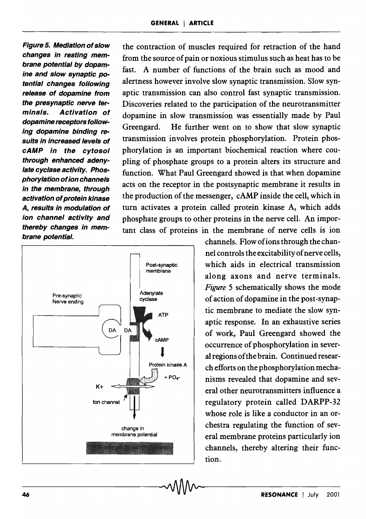Figure 5. Mediation of slow changes in resting membrane potential by dopamine and slow synaptic patential changes following release of dopamine from the presynaptic nerve terminals. Activation of dopamine receptors following dopamine binding results in increased levels of cAMP in the cytosol through enhanced adenylate cyclase activity. Phosphorylation of ion channels in the membrane, through activation of protein kinase A, results in modulation of ion channel activity and thereby changes in membrane potential.

the contraction of muscles required for retraction of the hand from the source of pain or noxious stimulus such as heat has to be fast. A number of functions of the brain such as mood and alertness however involve slow synaptic transmission. Slow synaptic transmission can also control fast synaptic transmission. Discoveries related to the participation of the neurotransmitter dopamine in slow transmission was essentially made by Paul Greengard. He further went on to show that slow synaptic transmission involves protein phosphorylation. Protein phosphorylation is an important biochemical reaction where coupling of phosphate groups to a protein alters its structure and function. What Paul Greengard showed is that when dopamine acts on the receptor in the postsynaptic membrane it results in the production of the messenger, cAMP inside the cell, which in turn activates a protein called protein kinase A, which adds phosphate groups to other proteins in the nerve cell. An important class of proteins in the membrane of nerve cells is ion



channels. Flow of ions through the channel controls the excitability of nerve cells, which aids in electrical transmission along axons and nerve terminals. *Figure* 5 schematically shows the mode of action of dopamine in the post -synaptic membrane to mediate the slow synaptic response. In an exhaustive series of work, Paul Greengard showed the occurrence of phosphorylation in several regions of the brain. Continued research efforts on the phosphorylation mechanisms revealed that dopamine and several other neurotransmitters influence a regulatory protein called DARPP-32 whose role is like a conductor in an orchestra regulating the function of several membrane proteins particularly ion channels, thereby altering their function.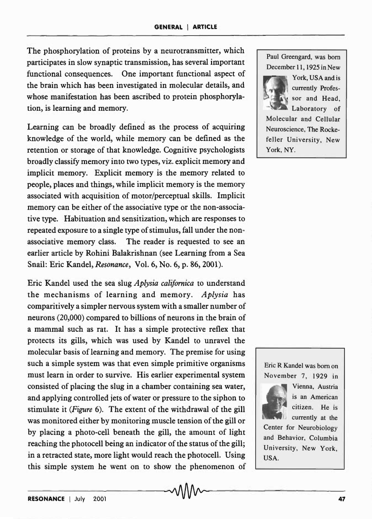The phosphorylation of proteins by a neurotransmitter, which participates in slow synaptic transmission, has several important functional consequences. One important functional aspect of the brain which has been investigated in molecular details, and whose manifestation has been ascribed to protein phosphorylation, is learning and memory.

Learning can be broadly defined as the process of acquiring knowledge of the world, while memory can be defined as the retention or storage of that knowledge. Cognitive psychologists broadly classify memory into two types, viz. explicit memory and implicit memory. Explicit memory is the memory related to people, places and things, while implicit memory is the memory associated with acquisition of motor/perceptual skills. Implicit memory can be either of the associative type or the non-associative type. Habituation and sensitization, which are responses to repeated exposure to a single type of stimulus, fall under the nonassociative memory class. The reader is requested to see an earlier article by Rohini Balakrishnan (see Learning from a Sea Snail: Eric Kandel, *Resonance,* Vol. 6, No.6, p. 86,2001).

Eric Kandel used the sea slug *Aplysia cali/ornica* to understand the mechanisms of learning and memory. *Aplysia* has comparitively a simpler nervous system with a smaller number of neurons (20,000) compared to billions of neurons in the brain of a mammal such as rat. It has a simple protective reflex that protects its gills, which was used by Kandel to unravel the molecular basis of learning and memory. The premise for using such a simple system was that even simple primitive organisms must learn in order to survive. His earlier experimental system consisted of placing the slug in a chamber containing sea water, and applying controlled jets of water or pressure to the siphon to stimulate it *(Figure* 6). The extent of the withdrawal of the gill was monitored either by monitoring muscle tension of the gill or by placing a photo-cell beneath the gill, the amount of light reaching the photocell being an indicator of the status of the gill; in a retracted state, more light would reach the photocell. Using this simple system he went on to show the phenomenon of

Paul Greengard, was born December 11, 1925 in New



York, USA and is currently Profes sor and Head, Laboratory of

Molecular and Cellular Neuroscience, The Rockefeller University, New York, NY.

Eric R Kandel was born on November 7, 1929 in



Vienna, Austria is an American citizen. He is currently at the

Center for Neurobiology and Behavior, Columbia University, New York, USA.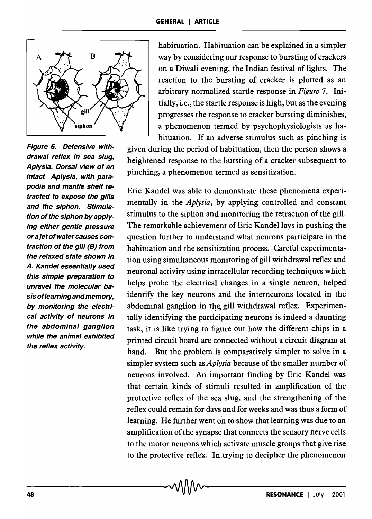

Figure 6. Defensive withdrawal reflex in sea slug, Aplysia. Dorsal view of an intact Aplysia, with parapodia and mantle shelf retracted to expose the gills and the siphon. Stimulation of the siphon by applying either gentle pressure or a jet of water causes contraction of the gill (8) from the relaxed state shown in A. Kandel essentially used this simple preparation to unravel the molecular basis of learning and memory, by monitoring the electrical activity of neurons in the abdominal ganglion while the animal exhibited the reflex activity.

habituation. Habituation can be explained in a simpler way by considering our response to bursting of crackers on a Diwali evening, the Indian festival of lights. The reaction to the bursting of cracker is plotted as an arbitrary normalized startle response in *Figure* 7. Initially, i.e., the startle response is high, but as the evening progresses the response to cracker bursting diminishes, a phenomenon termed by psychophysiologists as habituation. If an adverse stimulus such as pinching is

given during the period of habituation, then the person shows a heightened response to the bursting of a cracker subsequent to pinching, a phenomenon termed as sensitization.

Eric Kandel was able to demonstrate these phenomena experimentally in the *Aplysia,* by applying controlled and constant stimulus to the siphon and monitoring the retraction of the gill. The remarkable achievement of Eric Kandel lays in pushing the question further to understand what neurons participate in the habituation and the sensitization process. Careful experimentation using simultaneous monitoring of gill withdrawal reflex and neuronal activity using intracellular recording techniques which helps probe the electrical changes in a single neuron, helped identify the key neurons and the interneurons located in the abdominal ganglion in the gill withdrawal reflex. Experimentally identifying the participating neurons is indeed a daunting task, it is like trying to figure out how the different chips in a printed circuit board are connected without a circuit diagram at hand. But the problem is comparatively simpler to solve in a simpler system such as *Aplysia* because of the smaller number of neurons involved. An important finding by Eric Kandel was that certain kinds of stimuli resulted in amplification of the protective reflex of the sea slug, and the strengthening of the reflex could remain for days and for weeks and was thus a form of learning. He further went on to show that learning was due to an amplification of the synapse that connects the sensory nerve cells to the motor neurons which activate muscle groups that give rise to the protective reflex. In trying to decipher the phenomenon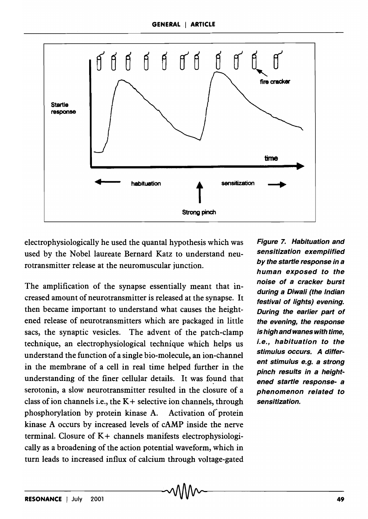

electrophysiologically he used the quantal hypothesis which was used by the Nobel laureate Bernard Katz to understand neurotransmitter release at the neuromuscular junction.

The amplification of the synapse essentially meant that increased amount of neurotransmitter is released at the synapse. It then became important to understand what causes the heightened release of neurotransmitters which are packaged in little sacs, the synaptic vesicles. The advent of the patch-clamp technique, an electrophysiological technique which helps us understand the function of a single bio-molecule, an ion-channel in the membrane of a cell in real time helped further in the understanding of the finer cellular details. It was found that serotonin, a slow neurotransmitter resulted in the closure of a class of ion channels i.e., the  $K +$  selective ion channels, through phosphorylation by protein kinase A. Activation of protein kinase A occurs by increased levels of cAMP inside the nerve terminal. Closure of  $K +$  channels manifests electrophysiologically as a broadening of the action potential waveform, which in turn leads to increased influx of calcium through voltage-gated

Figure 7. Habituation and sensitization exemplified by the startle response in a human exposed to the noise of a cracker burst during a Diwali (the Indian festival of lights) evening. During the earlier part of the evening, the response is high and wanes with time, i.e., habituation to the stimulus occurs. A different stimulus e.g. a strong pinch results in a heightened startle response- a phenomenon related to sensitization.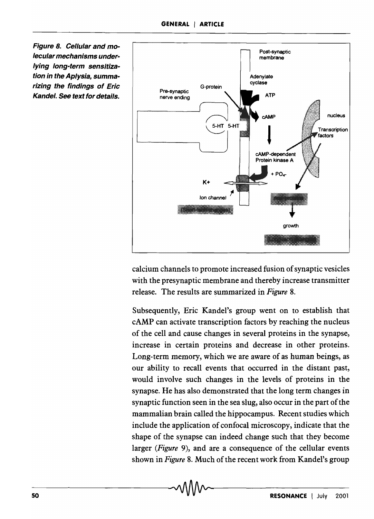Figure 8. Cellular and molecular mechanisms underlying long-term sensitization in the Aplysia, summarizing the findings of Eric Kandel. See text for details.



calcium channels to promote increased fusion of synaptic vesicles with the presynaptic membrane and thereby increase transmitter release. The results are summarized in *Figure 8.* 

Subsequently, Eric Kandel's group went on to establish that cAMP can activate transcription factors by reaching the nucleus of the cell and cause changes in several proteins in the synapse, increase in certain proteins and decrease in other proteins. Long-term memory, which we are aware of as human beings, as our ability to recall events that occurred in the distant past, would involve such changes in the levels of proteins in the synapse. He has also demonstrated that the long term changes in synaptic function seen in the sea slug, also occur in the part of the mammalian brain called the hippocampus. Recent studies which include the application of confocal microscopy, indicate that the shape of the synapse can indeed change such that they become larger *(Figure* 9), and are a consequence of the cellular events shown in *Figure* 8. Much of the recent work from Kandel's group